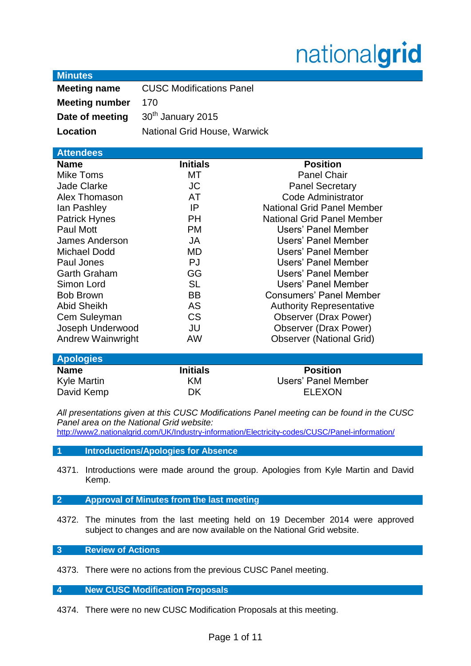# nationalgrid

## **Minutes**

| <b>Meeting name</b>   | <b>CUSC Modifications Panel</b> |
|-----------------------|---------------------------------|
| <b>Meeting number</b> | 170                             |
| Date of meeting       | 30 <sup>th</sup> January 2015   |
| Location              | National Grid House, Warwick    |

| <b>Attendees</b>         |                 |                                   |  |
|--------------------------|-----------------|-----------------------------------|--|
| <b>Name</b>              | <b>Initials</b> | <b>Position</b>                   |  |
| Mike Toms                | МT              | <b>Panel Chair</b>                |  |
| <b>Jade Clarke</b>       | JC              | <b>Panel Secretary</b>            |  |
| Alex Thomason            | AT              | Code Administrator                |  |
| lan Pashley              | IP              | <b>National Grid Panel Member</b> |  |
| <b>Patrick Hynes</b>     | <b>PH</b>       | <b>National Grid Panel Member</b> |  |
| Paul Mott                | <b>PM</b>       | Users' Panel Member               |  |
| James Anderson           | JA              | Users' Panel Member               |  |
| <b>Michael Dodd</b>      | MD              | Users' Panel Member               |  |
| Paul Jones               | PJ              | <b>Users' Panel Member</b>        |  |
| <b>Garth Graham</b>      | GG              | Users' Panel Member               |  |
| Simon Lord               | <b>SL</b>       | Users' Panel Member               |  |
| <b>Bob Brown</b>         | <b>BB</b>       | <b>Consumers' Panel Member</b>    |  |
| <b>Abid Sheikh</b>       | <b>AS</b>       | <b>Authority Representative</b>   |  |
| Cem Suleyman             | <b>CS</b>       | <b>Observer (Drax Power)</b>      |  |
| Joseph Underwood         | JU              | <b>Observer (Drax Power)</b>      |  |
| <b>Andrew Wainwright</b> | AW              | <b>Observer (National Grid)</b>   |  |
|                          |                 |                                   |  |

| <b>Apologies</b> |                 |                     |  |
|------------------|-----------------|---------------------|--|
| <b>Name</b>      | <b>Initials</b> | <b>Position</b>     |  |
| Kyle Martin      | KМ              | Users' Panel Member |  |
| David Kemp       | DK              | ELEXON              |  |

*All presentations given at this CUSC Modifications Panel meeting can be found in the CUSC Panel area on the National Grid website:* 

<http://www2.nationalgrid.com/UK/Industry-information/Electricity-codes/CUSC/Panel-information/>

## **1 Introductions/Apologies for Absence**

- 4371. Introductions were made around the group. Apologies from Kyle Martin and David Kemp.
- **2 Approval of Minutes from the last meeting**
- 4372. The minutes from the last meeting held on 19 December 2014 were approved subject to changes and are now available on the National Grid website.

# **3 Review of Actions**

4373. There were no actions from the previous CUSC Panel meeting.

**4 New CUSC Modification Proposals**

4374. There were no new CUSC Modification Proposals at this meeting.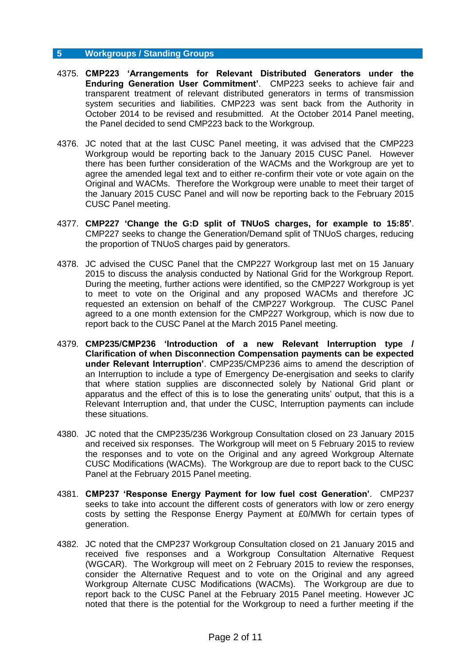#### **5 Workgroups / Standing Groups**

- 4375. **CMP223 'Arrangements for Relevant Distributed Generators under the Enduring Generation User Commitment'**. CMP223 seeks to achieve fair and transparent treatment of relevant distributed generators in terms of transmission system securities and liabilities. CMP223 was sent back from the Authority in October 2014 to be revised and resubmitted. At the October 2014 Panel meeting, the Panel decided to send CMP223 back to the Workgroup.
- 4376. JC noted that at the last CUSC Panel meeting, it was advised that the CMP223 Workgroup would be reporting back to the January 2015 CUSC Panel. However there has been further consideration of the WACMs and the Workgroup are yet to agree the amended legal text and to either re-confirm their vote or vote again on the Original and WACMs. Therefore the Workgroup were unable to meet their target of the January 2015 CUSC Panel and will now be reporting back to the February 2015 CUSC Panel meeting.
- 4377. **CMP227 'Change the G:D split of TNUoS charges, for example to 15:85'**. CMP227 seeks to change the Generation/Demand split of TNUoS charges, reducing the proportion of TNUoS charges paid by generators.
- 4378. JC advised the CUSC Panel that the CMP227 Workgroup last met on 15 January 2015 to discuss the analysis conducted by National Grid for the Workgroup Report. During the meeting, further actions were identified, so the CMP227 Workgroup is yet to meet to vote on the Original and any proposed WACMs and therefore JC requested an extension on behalf of the CMP227 Workgroup. The CUSC Panel agreed to a one month extension for the CMP227 Workgroup, which is now due to report back to the CUSC Panel at the March 2015 Panel meeting.
- 4379. **CMP235/CMP236 'Introduction of a new Relevant Interruption type / Clarification of when Disconnection Compensation payments can be expected under Relevant Interruption'**. CMP235/CMP236 aims to amend the description of an Interruption to include a type of Emergency De-energisation and seeks to clarify that where station supplies are disconnected solely by National Grid plant or apparatus and the effect of this is to lose the generating units' output, that this is a Relevant Interruption and, that under the CUSC, Interruption payments can include these situations.
- 4380. JC noted that the CMP235/236 Workgroup Consultation closed on 23 January 2015 and received six responses. The Workgroup will meet on 5 February 2015 to review the responses and to vote on the Original and any agreed Workgroup Alternate CUSC Modifications (WACMs). The Workgroup are due to report back to the CUSC Panel at the February 2015 Panel meeting.
- 4381. **CMP237 'Response Energy Payment for low fuel cost Generation'**. CMP237 seeks to take into account the different costs of generators with low or zero energy costs by setting the Response Energy Payment at £0/MWh for certain types of generation.
- 4382. JC noted that the CMP237 Workgroup Consultation closed on 21 January 2015 and received five responses and a Workgroup Consultation Alternative Request (WGCAR). The Workgroup will meet on 2 February 2015 to review the responses, consider the Alternative Request and to vote on the Original and any agreed Workgroup Alternate CUSC Modifications (WACMs). The Workgroup are due to report back to the CUSC Panel at the February 2015 Panel meeting. However JC noted that there is the potential for the Workgroup to need a further meeting if the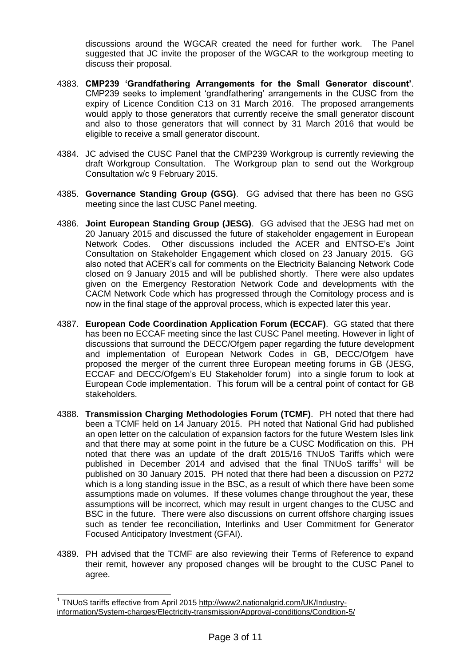discussions around the WGCAR created the need for further work. The Panel suggested that JC invite the proposer of the WGCAR to the workgroup meeting to discuss their proposal.

- 4383. **CMP239 'Grandfathering Arrangements for the Small Generator discount'**. CMP239 seeks to implement 'grandfathering' arrangements in the CUSC from the expiry of Licence Condition C13 on 31 March 2016. The proposed arrangements would apply to those generators that currently receive the small generator discount and also to those generators that will connect by 31 March 2016 that would be eligible to receive a small generator discount.
- 4384. JC advised the CUSC Panel that the CMP239 Workgroup is currently reviewing the draft Workgroup Consultation. The Workgroup plan to send out the Workgroup Consultation w/c 9 February 2015.
- 4385. **Governance Standing Group (GSG)**. GG advised that there has been no GSG meeting since the last CUSC Panel meeting.
- 4386. **Joint European Standing Group (JESG)**. GG advised that the JESG had met on 20 January 2015 and discussed the future of stakeholder engagement in European Network Codes. Other discussions included the ACER and ENTSO-E's Joint Consultation on Stakeholder Engagement which closed on 23 January 2015. GG also noted that ACER's call for comments on the Electricity Balancing Network Code closed on 9 January 2015 and will be published shortly. There were also updates given on the Emergency Restoration Network Code and developments with the CACM Network Code which has progressed through the Comitology process and is now in the final stage of the approval process, which is expected later this year.
- 4387. **European Code Coordination Application Forum (ECCAF)**. GG stated that there has been no ECCAF meeting since the last CUSC Panel meeting. However in light of discussions that surround the DECC/Ofgem paper regarding the future development and implementation of European Network Codes in GB, DECC/Ofgem have proposed the merger of the current three European meeting forums in GB (JESG, ECCAF and DECC/Ofgem's EU Stakeholder forum) into a single forum to look at European Code implementation. This forum will be a central point of contact for GB stakeholders.
- 4388. **Transmission Charging Methodologies Forum (TCMF)**. PH noted that there had been a TCMF held on 14 January 2015. PH noted that National Grid had published an open letter on the calculation of expansion factors for the future Western Isles link and that there may at some point in the future be a CUSC Modification on this. PH noted that there was an update of the draft 2015/16 TNUoS Tariffs which were published in December 2014 and advised that the final TNUoS tariffs<sup>1</sup> will be published on 30 January 2015. PH noted that there had been a discussion on P272 which is a long standing issue in the BSC, as a result of which there have been some assumptions made on volumes. If these volumes change throughout the year, these assumptions will be incorrect, which may result in urgent changes to the CUSC and BSC in the future. There were also discussions on current offshore charging issues such as tender fee reconciliation, Interlinks and User Commitment for Generator Focused Anticipatory Investment (GFAI).
- 4389. PH advised that the TCMF are also reviewing their Terms of Reference to expand their remit, however any proposed changes will be brought to the CUSC Panel to agree.

 $\overline{\phantom{a}}$ 

<sup>&</sup>lt;sup>1</sup> TNUoS tariffs effective from April 2015 [http://www2.nationalgrid.com/UK/Industry](http://www2.nationalgrid.com/UK/Industry-information/System-charges/Electricity-transmission/Approval-conditions/Condition-5/)[information/System-charges/Electricity-transmission/Approval-conditions/Condition-5/](http://www2.nationalgrid.com/UK/Industry-information/System-charges/Electricity-transmission/Approval-conditions/Condition-5/)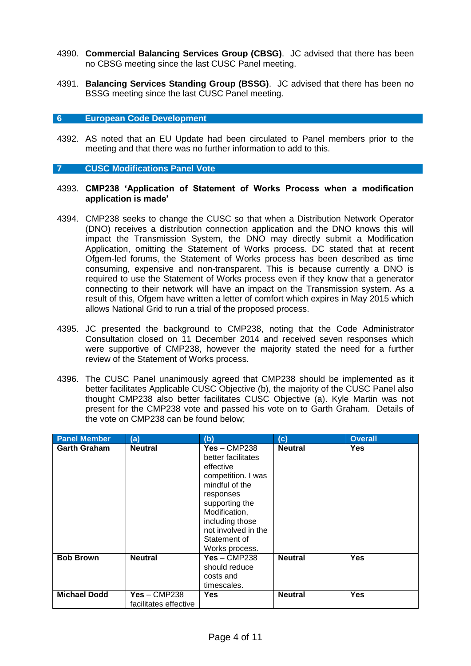- 4390. **Commercial Balancing Services Group (CBSG)**. JC advised that there has been no CBSG meeting since the last CUSC Panel meeting.
- 4391. **Balancing Services Standing Group (BSSG)**. JC advised that there has been no BSSG meeting since the last CUSC Panel meeting.

#### **6 European Code Development**

4392. AS noted that an EU Update had been circulated to Panel members prior to the meeting and that there was no further information to add to this.

#### **7 CUSC Modifications Panel Vote**

#### 4393. **CMP238 'Application of Statement of Works Process when a modification application is made'**

- 4394. CMP238 seeks to change the CUSC so that when a Distribution Network Operator (DNO) receives a distribution connection application and the DNO knows this will impact the Transmission System, the DNO may directly submit a Modification Application, omitting the Statement of Works process. DC stated that at recent Ofgem-led forums, the Statement of Works process has been described as time consuming, expensive and non-transparent. This is because currently a DNO is required to use the Statement of Works process even if they know that a generator connecting to their network will have an impact on the Transmission system. As a result of this, Ofgem have written a letter of comfort which expires in May 2015 which allows National Grid to run a trial of the proposed process.
- 4395. JC presented the background to CMP238, noting that the Code Administrator Consultation closed on 11 December 2014 and received seven responses which were supportive of CMP238, however the majority stated the need for a further review of the Statement of Works process.
- 4396. The CUSC Panel unanimously agreed that CMP238 should be implemented as it better facilitates Applicable CUSC Objective (b), the majority of the CUSC Panel also thought CMP238 also better facilitates CUSC Objective (a). Kyle Martin was not present for the CMP238 vote and passed his vote on to Garth Graham. Details of the vote on CMP238 can be found below;

| <b>Panel Member</b> | (a)                                     | (b)                                                                                                                                                                                                                   | (c)            | <b>Overall</b> |
|---------------------|-----------------------------------------|-----------------------------------------------------------------------------------------------------------------------------------------------------------------------------------------------------------------------|----------------|----------------|
| <b>Garth Graham</b> | <b>Neutral</b>                          | $Yes - CMP238$<br>better facilitates<br>effective<br>competition. I was<br>mindful of the<br>responses<br>supporting the<br>Modification,<br>including those<br>not involved in the<br>Statement of<br>Works process. | <b>Neutral</b> | <b>Yes</b>     |
| <b>Bob Brown</b>    | <b>Neutral</b>                          | $Yes - CMP238$<br>should reduce<br>costs and<br>timescales.                                                                                                                                                           | <b>Neutral</b> | <b>Yes</b>     |
| <b>Michael Dodd</b> | $Yes - CMP238$<br>facilitates effective | Yes                                                                                                                                                                                                                   | <b>Neutral</b> | <b>Yes</b>     |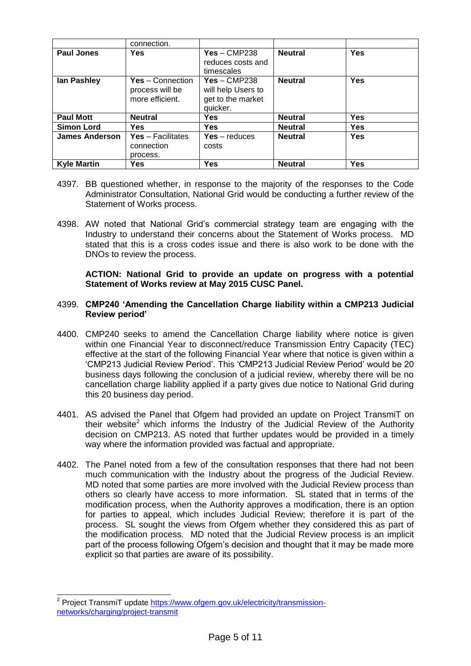|                       | connection.                                                   |                                                                       |                |            |
|-----------------------|---------------------------------------------------------------|-----------------------------------------------------------------------|----------------|------------|
| <b>Paul Jones</b>     | <b>Yes</b>                                                    | $Yes - CMP238$<br>reduces costs and<br>timescales                     | <b>Neutral</b> | <b>Yes</b> |
| lan Pashley           | <b>Yes</b> – Connection<br>process will be<br>more efficient. | $Yes - CMP238$<br>will help Users to<br>get to the market<br>quicker. | <b>Neutral</b> | <b>Yes</b> |
| <b>Paul Mott</b>      | <b>Neutral</b>                                                | Yes                                                                   | <b>Neutral</b> | <b>Yes</b> |
| <b>Simon Lord</b>     | <b>Yes</b>                                                    | <b>Yes</b>                                                            | <b>Neutral</b> | <b>Yes</b> |
| <b>James Anderson</b> | Yes - Facilitates<br>connection<br>process.                   | $Yes - reduces$<br>costs                                              | <b>Neutral</b> | <b>Yes</b> |
| <b>Kyle Martin</b>    | Yes                                                           | Yes                                                                   | <b>Neutral</b> | <b>Yes</b> |

- 4397. BB questioned whether, in response to the majority of the responses to the Code Administrator Consultation, National Grid would be conducting a further review of the Statement of Works process.
- 4398. AW noted that National Grid's commercial strategy team are engaging with the Industry to understand their concerns about the Statement of Works process. MD stated that this is a cross codes issue and there is also work to be done with the DNOs to review the process.

**ACTION: National Grid to provide an update on progress with a potential Statement of Works review at May 2015 CUSC Panel.**

## 4399. **CMP240 'Amending the Cancellation Charge liability within a CMP213 Judicial Review period'**

- 4400. CMP240 seeks to amend the Cancellation Charge liability where notice is given within one Financial Year to disconnect/reduce Transmission Entry Capacity (TEC) effective at the start of the following Financial Year where that notice is given within a 'CMP213 Judicial Review Period'. This 'CMP213 Judicial Review Period' would be 20 business days following the conclusion of a judicial review, whereby there will be no cancellation charge liability applied if a party gives due notice to National Grid during this 20 business day period.
- 4401. AS advised the Panel that Ofgem had provided an update on Project TransmiT on their website<sup>2</sup> which informs the Industry of the Judicial Review of the Authority decision on CMP213. AS noted that further updates would be provided in a timely way where the information provided was factual and appropriate.
- 4402. The Panel noted from a few of the consultation responses that there had not been much communication with the Industry about the progress of the Judicial Review. MD noted that some parties are more involved with the Judicial Review process than others so clearly have access to more information. SL stated that in terms of the modification process, when the Authority approves a modification, there is an option for parties to appeal, which includes Judicial Review; therefore it is part of the process. SL sought the views from Ofgem whether they considered this as part of the modification process. MD noted that the Judicial Review process is an implicit part of the process following Ofgem's decision and thought that it may be made more explicit so that parties are aware of its possibility.

 2 Project TransmiT update [https://www.ofgem.gov.uk/electricity/transmission](https://www.ofgem.gov.uk/electricity/transmission-networks/charging/project-transmit)[networks/charging/project-transmit](https://www.ofgem.gov.uk/electricity/transmission-networks/charging/project-transmit)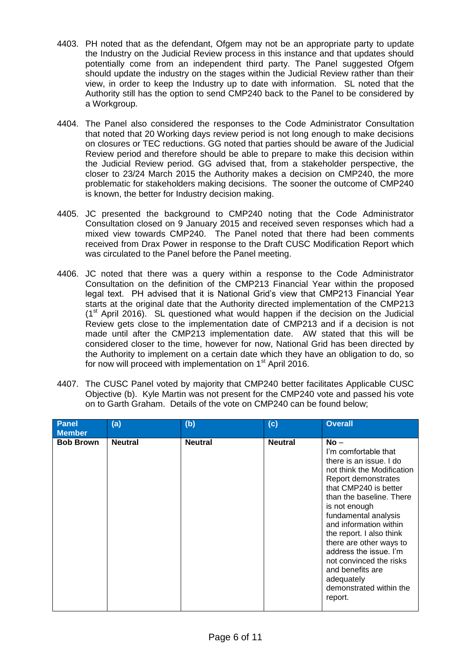- 4403. PH noted that as the defendant, Ofgem may not be an appropriate party to update the Industry on the Judicial Review process in this instance and that updates should potentially come from an independent third party. The Panel suggested Ofgem should update the industry on the stages within the Judicial Review rather than their view, in order to keep the Industry up to date with information. SL noted that the Authority still has the option to send CMP240 back to the Panel to be considered by a Workgroup.
- 4404. The Panel also considered the responses to the Code Administrator Consultation that noted that 20 Working days review period is not long enough to make decisions on closures or TEC reductions. GG noted that parties should be aware of the Judicial Review period and therefore should be able to prepare to make this decision within the Judicial Review period. GG advised that, from a stakeholder perspective, the closer to 23/24 March 2015 the Authority makes a decision on CMP240, the more problematic for stakeholders making decisions. The sooner the outcome of CMP240 is known, the better for Industry decision making.
- 4405. JC presented the background to CMP240 noting that the Code Administrator Consultation closed on 9 January 2015 and received seven responses which had a mixed view towards CMP240. The Panel noted that there had been comments received from Drax Power in response to the Draft CUSC Modification Report which was circulated to the Panel before the Panel meeting.
- 4406. JC noted that there was a query within a response to the Code Administrator Consultation on the definition of the CMP213 Financial Year within the proposed legal text. PH advised that it is National Grid's view that CMP213 Financial Year starts at the original date that the Authority directed implementation of the CMP213  $(1<sup>st</sup>$  April 2016). SL questioned what would happen if the decision on the Judicial Review gets close to the implementation date of CMP213 and if a decision is not made until after the CMP213 implementation date. AW stated that this will be considered closer to the time, however for now, National Grid has been directed by the Authority to implement on a certain date which they have an obligation to do, so for now will proceed with implementation on 1<sup>st</sup> April 2016.
- 4407. The CUSC Panel voted by majority that CMP240 better facilitates Applicable CUSC Objective (b). Kyle Martin was not present for the CMP240 vote and passed his vote on to Garth Graham. Details of the vote on CMP240 can be found below;

| <b>Panel</b><br><b>Member</b> | (a)            | (b)            | (c)            | <b>Overall</b>                                                                                                                                                                                                                                                                                                                                                                                                             |
|-------------------------------|----------------|----------------|----------------|----------------------------------------------------------------------------------------------------------------------------------------------------------------------------------------------------------------------------------------------------------------------------------------------------------------------------------------------------------------------------------------------------------------------------|
| <b>Bob Brown</b>              | <b>Neutral</b> | <b>Neutral</b> | <b>Neutral</b> | $No -$<br>I'm comfortable that<br>there is an issue. I do<br>not think the Modification<br>Report demonstrates<br>that CMP240 is better<br>than the baseline. There<br>is not enough<br>fundamental analysis<br>and information within<br>the report. I also think<br>there are other ways to<br>address the issue. I'm<br>not convinced the risks<br>and benefits are<br>adequately<br>demonstrated within the<br>report. |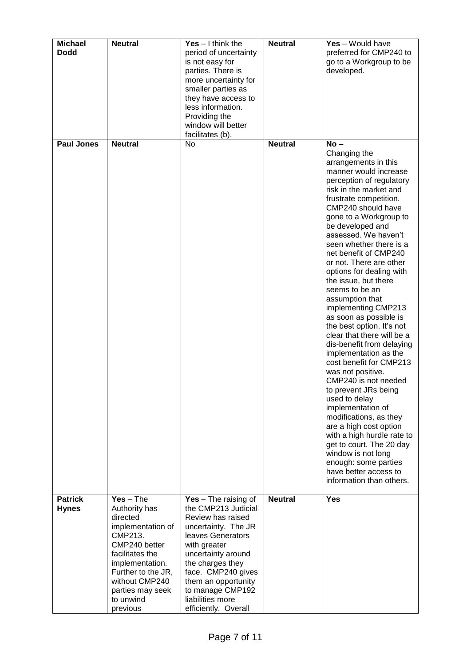| <b>Michael</b><br><b>Dodd</b> | <b>Neutral</b>                       | Yes $-1$ think the<br>period of uncertainty | <b>Neutral</b> | Yes - Would have<br>preferred for CMP240 to                                      |
|-------------------------------|--------------------------------------|---------------------------------------------|----------------|----------------------------------------------------------------------------------|
|                               |                                      | is not easy for<br>parties. There is        |                | go to a Workgroup to be<br>developed.                                            |
|                               |                                      | more uncertainty for<br>smaller parties as  |                |                                                                                  |
|                               |                                      | they have access to<br>less information.    |                |                                                                                  |
|                               |                                      | Providing the                               |                |                                                                                  |
|                               |                                      | window will better<br>facilitates (b).      |                |                                                                                  |
| <b>Paul Jones</b>             | <b>Neutral</b>                       | No                                          | <b>Neutral</b> | $No -$<br>Changing the                                                           |
|                               |                                      |                                             |                | arrangements in this<br>manner would increase<br>perception of regulatory        |
|                               |                                      |                                             |                | risk in the market and<br>frustrate competition.                                 |
|                               |                                      |                                             |                | CMP240 should have<br>gone to a Workgroup to<br>be developed and                 |
|                               |                                      |                                             |                | assessed. We haven't<br>seen whether there is a                                  |
|                               |                                      |                                             |                | net benefit of CMP240<br>or not. There are other<br>options for dealing with     |
|                               |                                      |                                             |                | the issue, but there<br>seems to be an                                           |
|                               |                                      |                                             |                | assumption that<br>implementing CMP213                                           |
|                               |                                      |                                             |                | as soon as possible is<br>the best option. It's not                              |
|                               |                                      |                                             |                | clear that there will be a<br>dis-benefit from delaying<br>implementation as the |
|                               |                                      |                                             |                | cost benefit for CMP213<br>was not positive.<br>CMP240 is not needed             |
|                               |                                      |                                             |                | to prevent JRs being<br>used to delay                                            |
|                               |                                      |                                             |                | implementation of<br>modifications, as they                                      |
|                               |                                      |                                             |                | are a high cost option                                                           |
|                               |                                      |                                             |                | with a high hurdle rate to<br>get to court. The 20 day                           |
|                               |                                      |                                             |                | window is not long<br>enough: some parties                                       |
|                               |                                      |                                             |                | have better access to<br>information than others.                                |
| <b>Patrick</b>                | $Yes - The$                          | Yes $-$ The raising of                      | <b>Neutral</b> | Yes                                                                              |
| <b>Hynes</b>                  | Authority has<br>directed            | the CMP213 Judicial<br>Review has raised    |                |                                                                                  |
|                               | implementation of<br>CMP213.         | uncertainty. The JR<br>leaves Generators    |                |                                                                                  |
|                               | CMP240 better                        | with greater                                |                |                                                                                  |
|                               | facilitates the<br>implementation.   | uncertainty around<br>the charges they      |                |                                                                                  |
|                               | Further to the JR,<br>without CMP240 | face. CMP240 gives<br>them an opportunity   |                |                                                                                  |
|                               | parties may seek                     | to manage CMP192                            |                |                                                                                  |
|                               | to unwind<br>previous                | liabilities more<br>efficiently. Overall    |                |                                                                                  |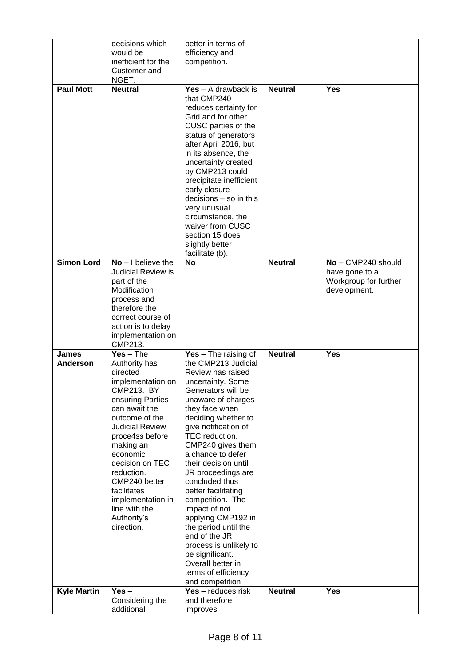|                    | decisions which                                   | better in terms of                            |                |                                         |
|--------------------|---------------------------------------------------|-----------------------------------------------|----------------|-----------------------------------------|
|                    | would be                                          | efficiency and                                |                |                                         |
|                    | inefficient for the                               | competition.                                  |                |                                         |
|                    | Customer and                                      |                                               |                |                                         |
|                    | NGET.                                             |                                               |                |                                         |
| <b>Paul Mott</b>   | <b>Neutral</b>                                    | $Yes - A drawback is$                         | <b>Neutral</b> | <b>Yes</b>                              |
|                    |                                                   | that CMP240                                   |                |                                         |
|                    |                                                   | reduces certainty for                         |                |                                         |
|                    |                                                   | Grid and for other                            |                |                                         |
|                    |                                                   | CUSC parties of the                           |                |                                         |
|                    |                                                   | status of generators                          |                |                                         |
|                    |                                                   | after April 2016, but                         |                |                                         |
|                    |                                                   | in its absence, the                           |                |                                         |
|                    |                                                   | uncertainty created                           |                |                                         |
|                    |                                                   | by CMP213 could                               |                |                                         |
|                    |                                                   | precipitate inefficient                       |                |                                         |
|                    |                                                   | early closure                                 |                |                                         |
|                    |                                                   | $decisions - so$ in this                      |                |                                         |
|                    |                                                   | very unusual                                  |                |                                         |
|                    |                                                   | circumstance, the                             |                |                                         |
|                    |                                                   | waiver from CUSC                              |                |                                         |
|                    |                                                   | section 15 does                               |                |                                         |
|                    |                                                   | slightly better                               |                |                                         |
|                    |                                                   | facilitate (b).                               |                |                                         |
| <b>Simon Lord</b>  | $No - I$ believe the<br><b>Judicial Review is</b> | <b>No</b>                                     | <b>Neutral</b> | No - CMP240 should                      |
|                    | part of the                                       |                                               |                | have gone to a<br>Workgroup for further |
|                    | Modification                                      |                                               |                | development.                            |
|                    | process and                                       |                                               |                |                                         |
|                    | therefore the                                     |                                               |                |                                         |
|                    | correct course of                                 |                                               |                |                                         |
|                    | action is to delay                                |                                               |                |                                         |
|                    | implementation on                                 |                                               |                |                                         |
|                    | CMP213.                                           |                                               |                |                                         |
|                    |                                                   |                                               |                |                                         |
| James              |                                                   |                                               | <b>Neutral</b> | <b>Yes</b>                              |
| <b>Anderson</b>    | $Yes - The$<br>Authority has                      | Yes $-$ The raising of<br>the CMP213 Judicial |                |                                         |
|                    | directed                                          | Review has raised                             |                |                                         |
|                    | implementation on                                 | uncertainty. Some                             |                |                                         |
|                    | CMP213. BY                                        | Generators will be                            |                |                                         |
|                    | ensuring Parties                                  | unaware of charges                            |                |                                         |
|                    | can await the                                     | they face when                                |                |                                         |
|                    | outcome of the                                    | deciding whether to                           |                |                                         |
|                    | <b>Judicial Review</b>                            | give notification of                          |                |                                         |
|                    | proce4ss before                                   | TEC reduction.                                |                |                                         |
|                    | making an                                         | CMP240 gives them                             |                |                                         |
|                    | economic                                          | a chance to defer                             |                |                                         |
|                    | decision on TEC                                   | their decision until                          |                |                                         |
|                    | reduction.                                        | JR proceedings are                            |                |                                         |
|                    | CMP240 better                                     | concluded thus                                |                |                                         |
|                    | facilitates                                       | better facilitating                           |                |                                         |
|                    | implementation in                                 | competition. The                              |                |                                         |
|                    | line with the                                     | impact of not                                 |                |                                         |
|                    | Authority's                                       | applying CMP192 in                            |                |                                         |
|                    | direction.                                        | the period until the                          |                |                                         |
|                    |                                                   | end of the JR                                 |                |                                         |
|                    |                                                   | process is unlikely to                        |                |                                         |
|                    |                                                   | be significant.                               |                |                                         |
|                    |                                                   | Overall better in                             |                |                                         |
|                    |                                                   | terms of efficiency                           |                |                                         |
| <b>Kyle Martin</b> | $Yes -$                                           | and competition<br>$Yes - reduces risk$       | <b>Neutral</b> | <b>Yes</b>                              |
|                    | Considering the                                   | and therefore                                 |                |                                         |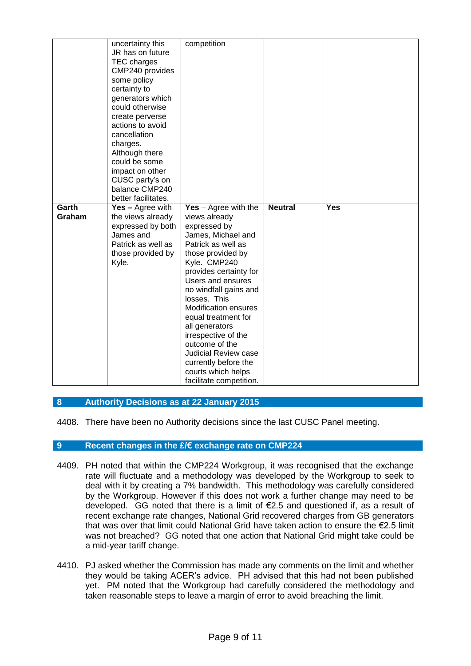|                 | uncertainty this<br>JR has on future<br>TEC charges<br>CMP240 provides<br>some policy<br>certainty to<br>generators which<br>could otherwise<br>create perverse<br>actions to avoid<br>cancellation<br>charges.<br>Although there<br>could be some<br>impact on other<br>CUSC party's on | competition                                                                                                                                                                                                                                                                                                                                                                                                                                               |                |            |
|-----------------|------------------------------------------------------------------------------------------------------------------------------------------------------------------------------------------------------------------------------------------------------------------------------------------|-----------------------------------------------------------------------------------------------------------------------------------------------------------------------------------------------------------------------------------------------------------------------------------------------------------------------------------------------------------------------------------------------------------------------------------------------------------|----------------|------------|
|                 | balance CMP240<br>better facilitates.                                                                                                                                                                                                                                                    |                                                                                                                                                                                                                                                                                                                                                                                                                                                           |                |            |
| Garth<br>Graham | Yes - Agree with<br>the views already<br>expressed by both<br>James and<br>Patrick as well as<br>those provided by<br>Kyle.                                                                                                                                                              | $Yes - Agree with the$<br>views already<br>expressed by<br>James, Michael and<br>Patrick as well as<br>those provided by<br>Kyle. CMP240<br>provides certainty for<br>Users and ensures<br>no windfall gains and<br>losses. This<br><b>Modification ensures</b><br>equal treatment for<br>all generators<br>irrespective of the<br>outcome of the<br><b>Judicial Review case</b><br>currently before the<br>courts which helps<br>facilitate competition. | <b>Neutral</b> | <b>Yes</b> |

## **8 Authority Decisions as at 22 January 2015**

4408. There have been no Authority decisions since the last CUSC Panel meeting.

#### **9 Recent changes in the £/€ exchange rate on CMP224**

- 4409. PH noted that within the CMP224 Workgroup, it was recognised that the exchange rate will fluctuate and a methodology was developed by the Workgroup to seek to deal with it by creating a 7% bandwidth. This methodology was carefully considered by the Workgroup. However if this does not work a further change may need to be developed. GG noted that there is a limit of €2.5 and questioned if, as a result of recent exchange rate changes, National Grid recovered charges from GB generators that was over that limit could National Grid have taken action to ensure the €2.5 limit was not breached? GG noted that one action that National Grid might take could be a mid-year tariff change.
- 4410. PJ asked whether the Commission has made any comments on the limit and whether they would be taking ACER's advice. PH advised that this had not been published yet. PM noted that the Workgroup had carefully considered the methodology and taken reasonable steps to leave a margin of error to avoid breaching the limit.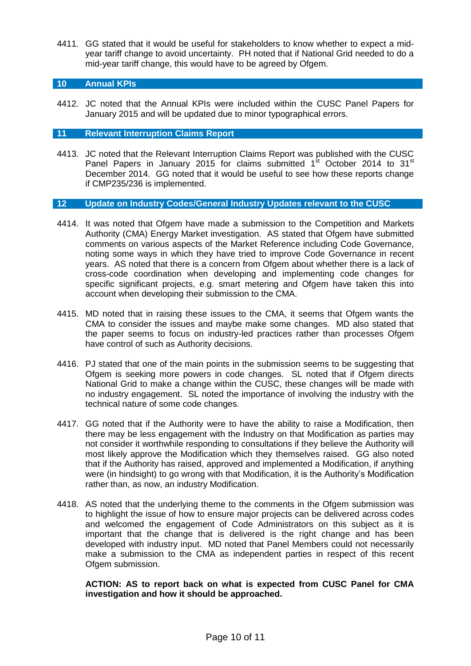4411. GG stated that it would be useful for stakeholders to know whether to expect a midyear tariff change to avoid uncertainty. PH noted that if National Grid needed to do a mid-year tariff change, this would have to be agreed by Ofgem.

# **10 Annual KPIs**

4412. JC noted that the Annual KPIs were included within the CUSC Panel Papers for January 2015 and will be updated due to minor typographical errors.

# **11 Relevant Interruption Claims Report**

4413. JC noted that the Relevant Interruption Claims Report was published with the CUSC Panel Papers in January 2015 for claims submitted  $1<sup>st</sup>$  October 2014 to 31 $<sup>st</sup>$ </sup> December 2014. GG noted that it would be useful to see how these reports change if CMP235/236 is implemented.

## **12 Update on Industry Codes/General Industry Updates relevant to the CUSC**

- 4414. It was noted that Ofgem have made a submission to the Competition and Markets Authority (CMA) Energy Market investigation. AS stated that Ofgem have submitted comments on various aspects of the Market Reference including Code Governance, noting some ways in which they have tried to improve Code Governance in recent years. AS noted that there is a concern from Ofgem about whether there is a lack of cross-code coordination when developing and implementing code changes for specific significant projects, e.g. smart metering and Ofgem have taken this into account when developing their submission to the CMA.
- 4415. MD noted that in raising these issues to the CMA, it seems that Ofgem wants the CMA to consider the issues and maybe make some changes. MD also stated that the paper seems to focus on industry-led practices rather than processes Ofgem have control of such as Authority decisions.
- 4416. PJ stated that one of the main points in the submission seems to be suggesting that Ofgem is seeking more powers in code changes. SL noted that if Ofgem directs National Grid to make a change within the CUSC, these changes will be made with no industry engagement. SL noted the importance of involving the industry with the technical nature of some code changes.
- 4417. GG noted that if the Authority were to have the ability to raise a Modification, then there may be less engagement with the Industry on that Modification as parties may not consider it worthwhile responding to consultations if they believe the Authority will most likely approve the Modification which they themselves raised. GG also noted that if the Authority has raised, approved and implemented a Modification, if anything were (in hindsight) to go wrong with that Modification, it is the Authority's Modification rather than, as now, an industry Modification.
- 4418. AS noted that the underlying theme to the comments in the Ofgem submission was to highlight the issue of how to ensure major projects can be delivered across codes and welcomed the engagement of Code Administrators on this subject as it is important that the change that is delivered is the right change and has been developed with industry input. MD noted that Panel Members could not necessarily make a submission to the CMA as independent parties in respect of this recent Ofgem submission.

**ACTION: AS to report back on what is expected from CUSC Panel for CMA investigation and how it should be approached.**